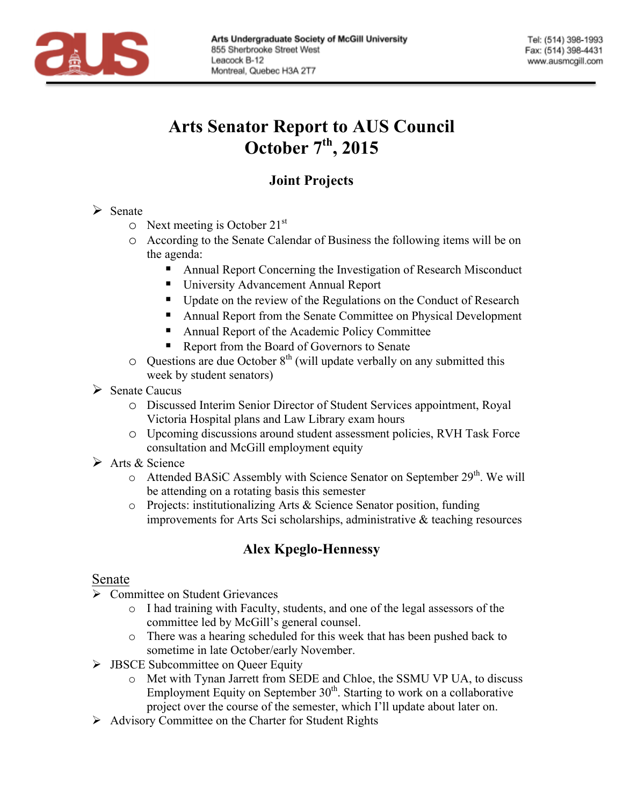

# **Arts Senator Report to AUS Council October 7th, 2015**

# **Joint Projects**

 $\triangleright$  Senate

- $\circ$  Next meeting is October 21<sup>st</sup>
- o According to the Senate Calendar of Business the following items will be on the agenda:
	- Annual Report Concerning the Investigation of Research Misconduct
	- University Advancement Annual Report
	- Update on the review of the Regulations on the Conduct of Research
	- § Annual Report from the Senate Committee on Physical Development
	- Annual Report of the Academic Policy Committee
	- Report from the Board of Governors to Senate
- $\circ$  Questions are due October 8<sup>th</sup> (will update verbally on any submitted this week by student senators)
- $\triangleright$  Senate Caucus
	- o Discussed Interim Senior Director of Student Services appointment, Royal Victoria Hospital plans and Law Library exam hours
	- o Upcoming discussions around student assessment policies, RVH Task Force consultation and McGill employment equity
- $\triangleright$  Arts & Science
	- $\circ$  Attended BASiC Assembly with Science Senator on September 29<sup>th</sup>. We will be attending on a rotating basis this semester
	- o Projects: institutionalizing Arts & Science Senator position, funding improvements for Arts Sci scholarships, administrative & teaching resources

# **Alex Kpeglo-Hennessy**

## Senate

- $\triangleright$  Committee on Student Grievances
	- o I had training with Faculty, students, and one of the legal assessors of the committee led by McGill's general counsel.
	- o There was a hearing scheduled for this week that has been pushed back to sometime in late October/early November.
- $\triangleright$  JBSCE Subcommittee on Queer Equity
	- o Met with Tynan Jarrett from SEDE and Chloe, the SSMU VP UA, to discuss Employment Equity on September 30<sup>th</sup>. Starting to work on a collaborative project over the course of the semester, which I'll update about later on.
- $\triangleright$  Advisory Committee on the Charter for Student Rights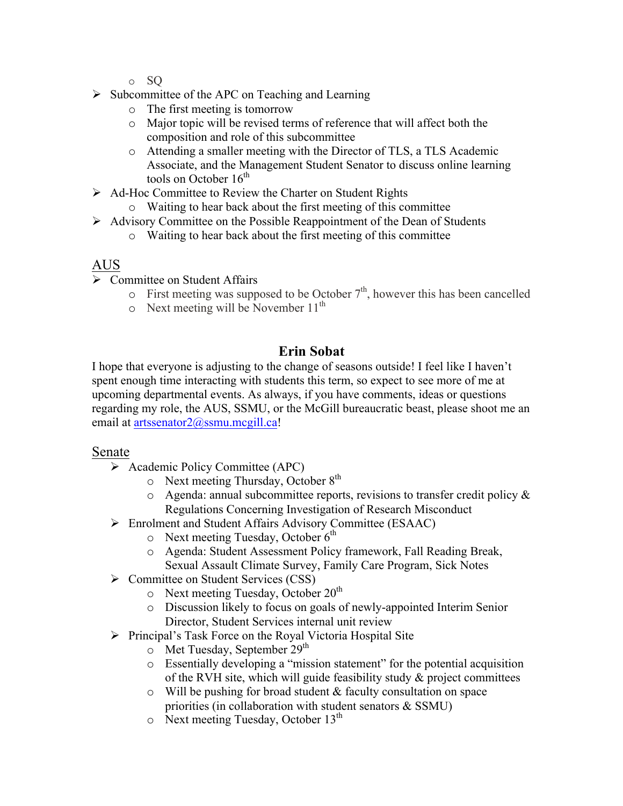- o SQ
- $\triangleright$  Subcommittee of the APC on Teaching and Learning
	- o The first meeting is tomorrow
	- o Major topic will be revised terms of reference that will affect both the composition and role of this subcommittee
	- o Attending a smaller meeting with the Director of TLS, a TLS Academic Associate, and the Management Student Senator to discuss online learning tools on October  $16<sup>th</sup>$
- Ø Ad-Hoc Committee to Review the Charter on Student Rights
	- o Waiting to hear back about the first meeting of this committee
- $\triangleright$  Advisory Committee on the Possible Reappointment of the Dean of Students
	- o Waiting to hear back about the first meeting of this committee

#### AUS

- Ø Committee on Student Affairs
	- $\circ$  First meeting was supposed to be October  $7<sup>th</sup>$ , however this has been cancelled
	- $\circ$  Next meeting will be November 11<sup>th</sup>

### **Erin Sobat**

I hope that everyone is adjusting to the change of seasons outside! I feel like I haven't spent enough time interacting with students this term, so expect to see more of me at upcoming departmental events. As always, if you have comments, ideas or questions regarding my role, the AUS, SSMU, or the McGill bureaucratic beast, please shoot me an email at artssenator2@ssmu.mcgill.ca!

#### Senate

- $\triangleright$  Academic Policy Committee (APC)
	- $\circ$  Next meeting Thursday, October 8<sup>th</sup>
	- $\circ$  Agenda: annual subcommittee reports, revisions to transfer credit policy & Regulations Concerning Investigation of Research Misconduct
- Ø Enrolment and Student Affairs Advisory Committee (ESAAC)
	- $\circ$  Next meeting Tuesday, October 6<sup>th</sup>
	- o Agenda: Student Assessment Policy framework, Fall Reading Break, Sexual Assault Climate Survey, Family Care Program, Sick Notes
- Ø Committee on Student Services (CSS)
	- o Next meeting Tuesday, October 20<sup>th</sup>
	- o Discussion likely to focus on goals of newly-appointed Interim Senior Director, Student Services internal unit review
- $\triangleright$  Principal's Task Force on the Royal Victoria Hospital Site
	- $\circ$  Met Tuesday, September 29<sup>th</sup>
	- o Essentially developing a "mission statement" for the potential acquisition of the RVH site, which will guide feasibility study  $\&$  project committees
	- $\circ$  Will be pushing for broad student & faculty consultation on space priorities (in collaboration with student senators & SSMU)
	- $\circ$  Next meeting Tuesday, October 13<sup>th</sup>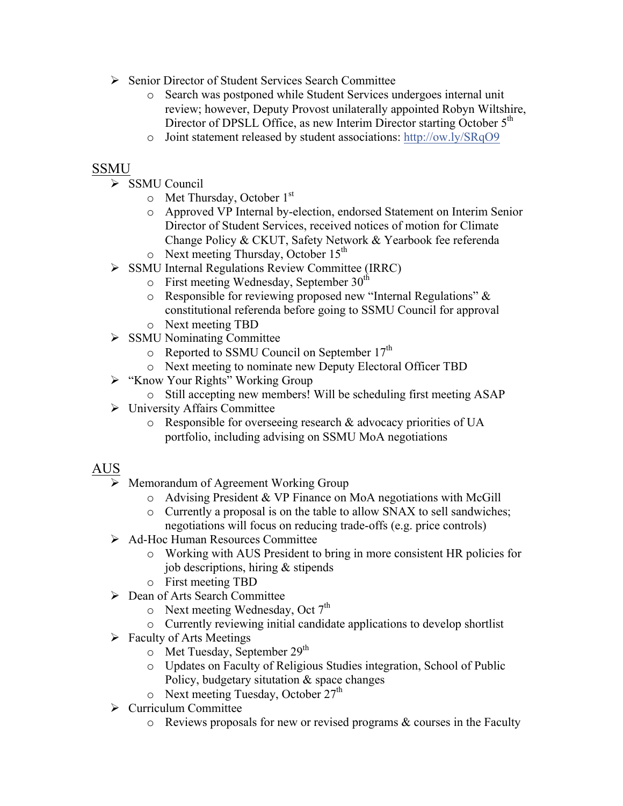- Ø Senior Director of Student Services Search Committee
	- o Search was postponed while Student Services undergoes internal unit review; however, Deputy Provost unilaterally appointed Robyn Wiltshire, Director of DPSLL Office, as new Interim Director starting October 5<sup>th</sup>
	- o Joint statement released by student associations: http://ow.ly/SRqO9

#### SSMU

- Ø SSMU Council
	- $\circ$  Met Thursday, October 1<sup>st</sup>
	- o Approved VP Internal by-election, endorsed Statement on Interim Senior Director of Student Services, received notices of motion for Climate Change Policy & CKUT, Safety Network & Yearbook fee referenda  $\circ$  Next meeting Thursday, October 15<sup>th</sup>
- Ø SSMU Internal Regulations Review Committee (IRRC)
	- $\circ$  First meeting Wednesday, September 30<sup>th</sup>
	- o Responsible for reviewing proposed new "Internal Regulations" & constitutional referenda before going to SSMU Council for approval o Next meeting TBD
- $\triangleright$  SSMU Nominating Committee
	- o Reported to SSMU Council on September 17<sup>th</sup>
	- o Next meeting to nominate new Deputy Electoral Officer TBD
- $\triangleright$  "Know Your Rights" Working Group
	- o Still accepting new members! Will be scheduling first meeting ASAP
- $\triangleright$  University Affairs Committee
	- o Responsible for overseeing research & advocacy priorities of UA portfolio, including advising on SSMU MoA negotiations

## AUS

- Ø Memorandum of Agreement Working Group
	- o Advising President & VP Finance on MoA negotiations with McGill
	- o Currently a proposal is on the table to allow SNAX to sell sandwiches; negotiations will focus on reducing trade-offs (e.g. price controls)
- Ø Ad-Hoc Human Resources Committee
	- o Working with AUS President to bring in more consistent HR policies for job descriptions, hiring & stipends
	- o First meeting TBD
- Ø Dean of Arts Search Committee
	- $\circ$  Next meeting Wednesday, Oct 7<sup>th</sup>
	- o Currently reviewing initial candidate applications to develop shortlist
- $\triangleright$  Faculty of Arts Meetings
	- $\circ$  Met Tuesday, September 29<sup>th</sup>
	- o Updates on Faculty of Religious Studies integration, School of Public Policy, budgetary situtation & space changes
	- $\circ$  Next meeting Tuesday, October 27<sup>th</sup>
- $\triangleright$  Curriculum Committee
	- $\circ$  Reviews proposals for new or revised programs  $\&$  courses in the Faculty